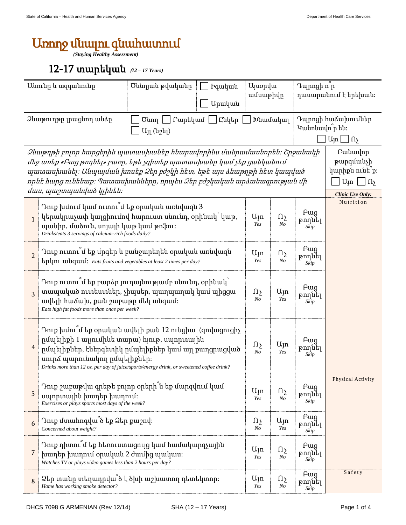## Առողջ մնալու գնահատում

*(Staying Healthy Assessment)* 

## 12-17 տարեկան (*12 – 17 Years)*

| Անունը և ազգանունը                                                                                                                                                                                                                                                                                                             |                                                                                                                                                                                                                                                                                         | Ծննդյան թվականը<br><b>U</b> juopyu<br>hquluuu<br>ամսաթիվը<br>Արական |  |                              | Դպրոցի ո <sup>ր</sup><br>դասարանում է երեխան։                                  |                                                                                                                 |                   |
|--------------------------------------------------------------------------------------------------------------------------------------------------------------------------------------------------------------------------------------------------------------------------------------------------------------------------------|-----------------------------------------------------------------------------------------------------------------------------------------------------------------------------------------------------------------------------------------------------------------------------------------|---------------------------------------------------------------------|--|------------------------------|--------------------------------------------------------------------------------|-----------------------------------------------------------------------------------------------------------------|-------------------|
| Ձևաթուղթը լրացնող անձը<br>Ընկեր<br>_  Բարեկամ  _ <br>Խնամակալ<br>$U$ unn<br>$U_{11}$ (u2 $t_{1}$ )                                                                                                                                                                                                                             |                                                                                                                                                                                                                                                                                         |                                                                     |  |                              | Դպրոցի հաձախումներ<br>Կանոնավո <sup>ր</sup> են։<br>U <sub>jn</sub><br>$\Omega$ |                                                                                                                 |                   |
| Ձևաթղթի բոլոր հարցերին պատասխանեք հնարավորինս մանրամասնորեն։ Շրջանակի<br>մեջ առեք «Բաց թողնել» բառը, եթե չգիտեք պատասխանը կամ չեք ցանկանում<br>պատասխանել։ Անպայման խոսեք Ձեր բժշկի հետ, եթե այս ձևաթղթի հետ կապված<br>որևէ հարց ունենաք։ Պատասխանները, որպես Ձեր բժշկական արձանագրության մի<br><i>մաս, պաշտպանված կլինեն։</i> |                                                                                                                                                                                                                                                                                         |                                                                     |  |                              |                                                                                | Pwuwulnn<br>թարգմանչի<br>կարիքն ունե <sup>ը</sup> :<br>$U_{\parallel}$ n<br>$\Omega$<br><b>Clinic Use Only:</b> |                   |
| $\mathbf{1}$                                                                                                                                                                                                                                                                                                                   | Դուք խմում կամ ուտու <sup>7</sup> մ եք օրական առնվազն 3<br>կերակրաչափ կալցիումով հարուստ սնունդ, օրինակ՝ կաթ,<br>պանիր, մածուն, սոյայի կաթ կամ թոֆու։<br>Drinks/eats 3 servings of calcium-rich foods daily?                                                                            |                                                                     |  | $U_{\parallel}$ n<br>Yes     | $\Omega_{\Sigma}$<br>N <sub>O</sub>                                            | Fwg<br>թողնել<br>Skip                                                                                           | Nutrition         |
| $\overline{2}$                                                                                                                                                                                                                                                                                                                 | Դուք ուտու՞մ եք մրգեր և բանջարեղեն օրական առնվազն<br>tplynt whquul: Eats fruits and vegetables at least 2 times per day?                                                                                                                                                                |                                                                     |  | $U_{\text{J}}$ n<br>Yes      | Ωչ<br>N <sub>O</sub>                                                           | F <sub>uq</sub><br>թողնել<br>Skip                                                                               |                   |
| 3                                                                                                                                                                                                                                                                                                                              | Դուք ուտու մ եք բարձր յուղայնությամբ սնունդ, օրինակ՝<br>տապակած ուտեստներ, չիպսեր, պաղպաղակ կամ պիցցա<br>ավելի հաձախ, քան շաբաթը մեկ անգամ։<br>Eats high fat foods more than once per week?                                                                                             |                                                                     |  | $\Omega$<br>$N_{O}$          | Uyn<br>Yes                                                                     | F <sub>uq</sub><br>թողնել<br>Skip                                                                               |                   |
| $\overline{4}$                                                                                                                                                                                                                                                                                                                 | Դուք խմու՞մ եք օրական ավելի քան 12 ունցիա (զովացուցիչ<br>րմպելիքի 1 ալյումինե տարա) հյութ, սպորտային<br>րմպելիքներ, էներգետիկ ըմպելիքներ կամ այլ քաղցրացված<br>սուրձ պարունակող ըմպելիքներ։<br>Drinks more than 12 oz. per day of juice/sports/energy drink, or sweetened coffee drink? |                                                                     |  | $\Omega_{\Sigma}$<br>$N_{O}$ | Ujn<br>Yes                                                                     | <b>F</b> ug<br>թողնել<br>Skip                                                                                   |                   |
| 5                                                                                                                                                                                                                                                                                                                              | Դուք շաբաթվա գրեթե բոլոր օրերի՞ն եք մարզվում կամ<br>սպորտային խաղեր խաղում։<br>Exercises or plays sports most days of the week?                                                                                                                                                         |                                                                     |  | $U_{\parallel}$ n<br>Yes     | $\Omega$<br>N <sub>O</sub>                                                     | <b>F</b> ug<br>թողնել<br>Skip                                                                                   | Physical Activity |
| 6                                                                                                                                                                                                                                                                                                                              | Դուք մտահոգվա ծ եք Ձեր քաշով։<br>Concerned about weight?                                                                                                                                                                                                                                |                                                                     |  | $\Omega$<br>$N_{O}$          | $U_{1}$ n<br>Yes                                                               | <b>F</b> ug<br>թողնել<br>Skip                                                                                   |                   |
| 7                                                                                                                                                                                                                                                                                                                              | Դուք դիտու՞մ եք հեռուստացույց կամ համակարգչային<br>խաղեր խաղում օրական 2 ժամից պակաս։<br>Watches TV or plays video games less than 2 hours per day?                                                                                                                                     |                                                                     |  | $U_{\parallel}$ n<br>Yes     | $\Omega$<br>N <sub>O</sub>                                                     | <b>F</b> ug<br>թողնել<br>Skip                                                                                   |                   |
| 8                                                                                                                                                                                                                                                                                                                              | Ձեր տանը տեղադրվա՞ծ է ծխի աշխատող դետեկտոր։<br>Home has working smoke detector?                                                                                                                                                                                                         |                                                                     |  | $U_{\text{J}}$ n<br>Yes      | $\Omega_{\Sigma}$<br>N <sub>O</sub>                                            | Fwg<br>թողնել<br>Skip                                                                                           | Safety            |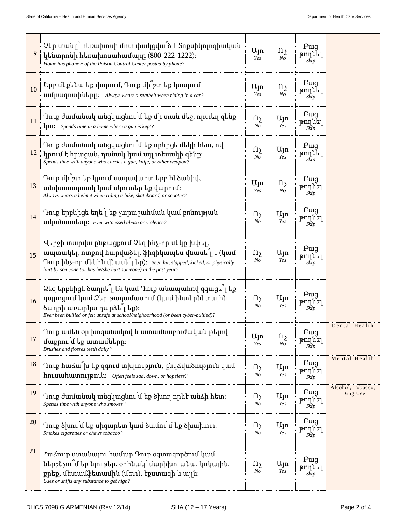| 9  | Ձեր տանը` հեռախոսի մոտ փակցվա՞ծ է Տոքսիկոլոգիական<br>կենտրոնի հեռախոսահամարը (800-222-1222):<br>Home has phone # of the Poison Control Center posted by phone?                                                                                 | $U_{\text{J}}$ n<br>Yes    | $\Omega$<br>$N_{O}$                 | <b>F</b> ug<br>թողնել<br>Skip |                               |
|----|------------------------------------------------------------------------------------------------------------------------------------------------------------------------------------------------------------------------------------------------|----------------------------|-------------------------------------|-------------------------------|-------------------------------|
| 10 | Երբ մեքենա եք վարում, Դուք մի շտ եք կապում<br>uufpuiqnuhutapp: Always wears a seatbelt when riding in a car?                                                                                                                                   | $U_{\parallel}$ n<br>Yes   | $\Omega$<br>N <sub>O</sub>          | <b>F</b> ug<br>թողնել<br>Skip |                               |
| 11 | Դուք ժամանակ անցկացնու՞մ եք մի տան մեջ, որտեղ զենք<br>$\mu$ <b>u:</b> Spends time in a home where a gun is kept?                                                                                                                               | $\Omega$<br>$N_{O}$        | $U_{\text{J}}$ n<br>Yes             | <b>F</b> ug<br>թողնել<br>Skip |                               |
| 12 | Դուք ժամանակ անցկացնու՞մ եք որևիցե մեկի հետ, ով<br>կրում է հրացան, դանակ կամ այլ տեսակի զենք։<br>Spends time with anyone who carries a gun, knife, or other weapon?                                                                            | $\Omega$<br>N <sub>O</sub> | $U_{\text{J}}$ n<br>Yes             | <b>F</b> ug<br>թողնել<br>Skip |                               |
| 13 | Դուք մի՞շտ եք կրում սաղավարտ երբ հեծանիվ,<br>անվատաղտակ կամ սկուտեր եք վարում։<br>Always wears a helmet when riding a bike, skateboard, or scooter?                                                                                            | $U_{\parallel}$ n<br>Yes   | $\Omega_{\Sigma}$<br>N <sub>O</sub> | Pwg<br>թողնել<br>Skip         |                               |
| 14 | Դուք երբևիցե եղե՞լ եք չարաշահման կամ բռնության<br>uluuuuntup: Ever witnessed abuse or violence?                                                                                                                                                | $\Omega$<br>N <sub>O</sub> | $U_{\parallel}$ n<br>Yes            | Pwg<br>թողնել<br>Skip         |                               |
| 15 | Վերջի տարվա ընթացքում Ձեզ ինչ-որ մեկը խփել,<br>ապտակել, ոտքով հարվածել, ֆիզիկապես վնասե՞լ է (կամ<br>Trup huy-nn utlphu yuuut 1 tp): Been hit, slapped, kicked, or physically<br>hurt by someone (or has he/she hurt someone) in the past year? | Ωչ<br>N <sub>O</sub>       | $U_{\text{J}}$ n<br>Yes             | <b>F</b> ug<br>թողնել<br>Skip |                               |
| 16 | Ձեզ երբևիցե ծաղրե՞լ են կամ Դուք անապահով զգացե՞լ եք<br>դպրոցում կամ Ձեր թաղամասում (կամ ինտերնետային<br>ծաղրի առարկա դարձե $\hat{a}$ լ եք)։<br>Ever been bullied or felt unsafe at school/neighborhood (or been cyber-bullied)?                | $\Omega$<br>$N_{O}$        | $U_{\parallel}$ n<br>Yes            | Pwg<br>թողնել<br>Skip         |                               |
| 17 | Դուք ամեն օր խոզանակով և ատամնաբուժական թելով<br>մաքրու՞մ եք ատամները։<br>Brushes and flosses teeth daily?                                                                                                                                     | Այո<br>Yes                 | $\Omega_{\Sigma}$<br>No             | Fwg<br>թողնել<br>Skip         | Dental Health                 |
| 18 | Դուք հաձա՞խ եք զգում տխրություն, ընկձվածություն կամ<br>hntumhuunntyantu: Often feels sad, down, or hopeless?                                                                                                                                   | $\Omega$<br>No             | $U_{\parallel}$ n<br>Yes            | <b>F</b> ug<br>թողնել<br>Skip | Mental Health                 |
| 19 | Դուք ժամանակ անցկացնու՞մ եք ծխող որևէ անձի հետ։<br>Spends time with anyone who smokes?                                                                                                                                                         | $\Omega$<br>No             | $U_{\text{J}}$ n<br>Yes             | <b>F</b> ug<br>թողնել<br>Skip | Alcohol, Tobacco,<br>Drug Use |
| 20 | Դուք ծխու՞մ եք սիգարետ կամ ծամու՞մ եք ծխախոտ։<br>Smokes cigarettes or chews tobacco?                                                                                                                                                           | $\Omega$<br>No             | $U_{\parallel}$ n<br>Yes            | Pwg<br>թողնել<br>Skip         |                               |
| 21 | Հաձույք ստանալու համար Դուք օգտագործում կամ<br>ներշնչու՞մ եք նյութեր, օրինակ՝ մարիխուանա, կոկային,<br>քրեք, մետամֆետամին (մետ), էքստազի և այլն։<br>Uses or sniffs any substance to get high?                                                   | $\Omega$<br>$N_{O}$        | $U_{\text{J}}$ n<br>Yes             | Fwg<br>թողնել<br>Skip         |                               |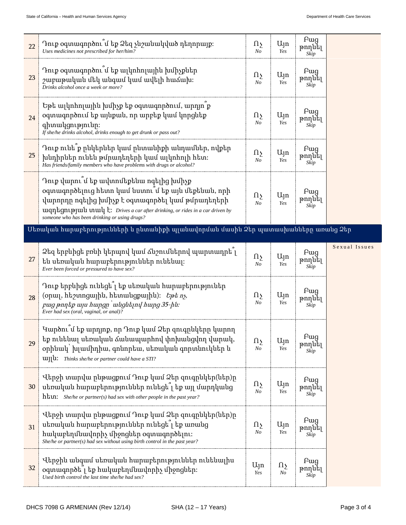—

| 22 | Դուք օգտագործու մ եք Ձեզ չնշանակված դեղորայք։<br>Uses medicines not prescribed for her/him?                                                                                                                                                                                                            | $\Omega$<br>N <sub>O</sub>          | $U_{\parallel}$ n<br>Yes | <b>F</b> ug<br>թողնել<br>Skip |               |
|----|--------------------------------------------------------------------------------------------------------------------------------------------------------------------------------------------------------------------------------------------------------------------------------------------------------|-------------------------------------|--------------------------|-------------------------------|---------------|
| 23 | Դուք օգտագործու՞մ եք ալկոհոլային խմիչքներ<br>շաբաթական մեկ անգամ կամ ավելի հաձախ։<br>Drinks alcohol once a week or more?                                                                                                                                                                               | $\Omega$<br>N <sub>O</sub>          | $U_{\parallel}$ n<br>Yes | Pug<br>թողնել<br>Skip         |               |
| 24 | Եթե ալկոհոլային խմիչք եք օգտագործում, արդյո ք<br>օգտագործում եք այնքան, որ արբեք կամ կորցնեք<br>գիտակցությունը։<br>If she/he drinks alcohol, drinks enough to get drunk or pass out?                                                                                                                   | $\Omega$<br>N <sub>O</sub>          | $U_{\parallel}$ n<br>Yes | <b>F</b> ug<br>թողնել<br>Skip |               |
| 25 | Դուք ունե ՞ք ընկերներ կամ ընտանիքի անդամներ, ովքեր<br>խնդիրներ ունեն թմրադեղերի կամ ալկոհոլի հետ։<br>Has friends/family members who have problems with drugs or alcohol?                                                                                                                               | $\Omega$<br>N <sub>O</sub>          | $U_{\parallel}$ n<br>Yes | <b>F</b> ug<br>թողնել<br>Skip |               |
|    | Դուք վարու՞մ եք ավտոմեքենա ոգելից խմիչք<br>օգտագործելուց հետո կամ նստու՞մ եք այն մեքենան, որի<br>վարորդը ոգելից խմիչք է օգտագործել կամ թմրադեղերի<br>$u$ qn $t$ gn $t$ plu $u$ unu $v$ $t$ : Drives a car after drinking, or rides in a car driven by<br>someone who has been drinking or using drugs? |                                     | $U_{\parallel}$ n<br>Yes | Pug<br>թողնել<br>Skip         |               |
|    | <u> Uեռական հարաբերությունների և ընտանիքի պլանավորման մասին Ձեր պատասխանները առանց Ձեր</u>                                                                                                                                                                                                             |                                     |                          |                               |               |
|    | Ձեզ երբևիցե բռնի կերպով կամ ձնշումներով պարտադրե՞լ                                                                                                                                                                                                                                                     | $\Omega$                            | $U_{\parallel}$ n        | Fwg                           | Sexual Issues |
| 27 | են սեռական հարաբերություններ ունենալ։<br>Ever been forced or pressured to have sex?                                                                                                                                                                                                                    | N <sub>O</sub>                      | Yes                      | թողնել<br>Skip                |               |
| 28 | Դուք երբևիցե ունեցե՞լ եք սեռական հարաբերություներ<br>(opuq, http://www.phb., https://www.phb/2010.in/.<br>pug pnn tp unu hungn uungut nung 35-hu.<br>Ever had sex (oral, vaginal, or anal)?                                                                                                            | $\Omega$<br>N <sub>O</sub>          | $U_{\parallel}$ n<br>Yes | Pug<br>թողնել<br>Skip         |               |
| 29 | Կարծու՞մ եք արդյոք, որ Դուք կամ Ձեր զուգրնկերը կարող<br>եք ունենալ սեռական ձանապարհով փոխանցվող վարակ,<br>օրինակ` խլամիդիա, գոնորեա, սեռական գորտնուկներ և<br>ungu: Thinks she/he or partner could have a STI?                                                                                         | $\Omega$<br>N <sub>O</sub>          | $U_{\parallel}$ n<br>Yes | <b>Fwg</b><br>թողնել<br>Skip  |               |
| 30 | Վերջի տարվա ընթացքում Դուք կամ Ձեր զուգընկեր(ներ)ը<br>սեռական հարաբերություններ ունեցե՞լ եք այլ մարդկանց<br>$h \text{t}$ . She/he or partner(s) had sex with other people in the past year?                                                                                                            | $\Omega_{\Sigma}$<br>N <sub>O</sub> | $U_{\text{J}}$ n<br>Yes  | <b>F</b> ug<br>թողնել<br>Skip |               |
| 31 | Վերջի տարվա ընթացքում Դուք կամ Ձեր զուգընկեր(ներ)ը<br>սեռական հարաբերություններ ունեցե <sup>՞</sup> լ եք առանց<br>հակաբեղմնավորիչ միջոցներ օգտագործելու։<br>She/he or partner(s) had sex without using birth control in the past year?                                                                 | $\Omega$<br>N <sub>O</sub>          | $U_{\text{J}}$ n<br>Yes  | <b>F</b> ug<br>թողնել<br>Skip |               |